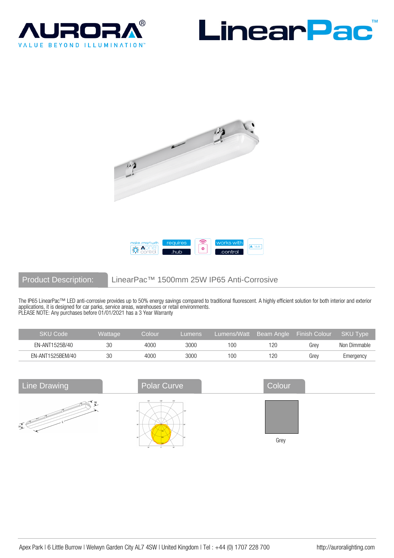







# Product Description: LinearPac™ 1500mm 25W IP65 Anti-Corrosive

The IP65 LinearPac™ LED anti-corrosive provides up to 50% energy savings compared to traditional fluorescent. A highly efficient solution for both interior and exterior applications, it is designed for car parks, service areas, warehouses or retail environments. PLEASE NOTE: Any purchases before 01/01/2021 has a 3 Year Warranty

| <b>SKU Code</b>  | Wattaɑe | Colour | Lumens |     |     | Lumens/Watt Beam Angle Finish Colour | SKU Type     |
|------------------|---------|--------|--------|-----|-----|--------------------------------------|--------------|
| EN-ANT1525B/40   | 30      | 4000   | 3000   | 10C | 120 | Grev                                 | Non Dimmable |
| EN-ANT1525BEM/40 | 30      | 4000   | 3000   | 10C | 120 | Grev                                 | Emergency    |

| <b>Line Drawing</b> | <b>Polar Curve</b> | Colour |
|---------------------|--------------------|--------|
| нį.                 | 1501<br>1200       | Grey   |